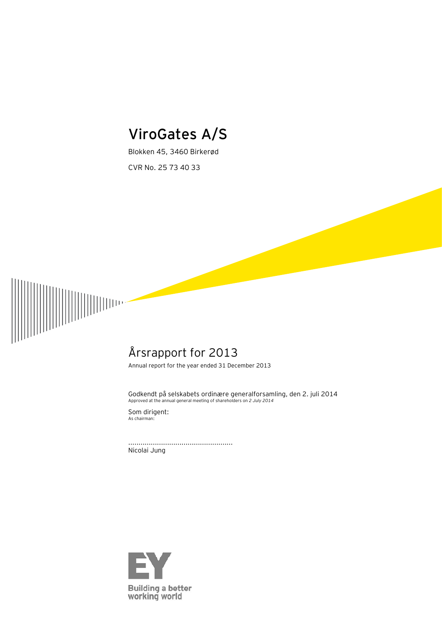# **ViroGates A/S**

Blokken 45, 3460 Birkerød CVR No. 25 73 40 33



# Årsrapport for 2013

Annual report for the year ended 31 December 2013

Godkendt på selskabets ordinære generalforsamling, den 2. juli 2014 Approved at the annual general meeting of shareholders on *2 July 2014*

Som dirigent: As chairman:

................................................... Nicolai Jung

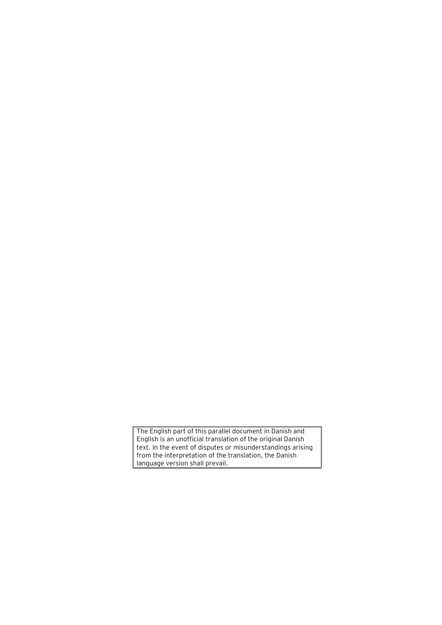The English part of this parallel document in Danish and English is an unofficial translation of the original Danish text. In the event of disputes or misunderstandings arising from the interpretation of the translation, the Danish language version shall prevail.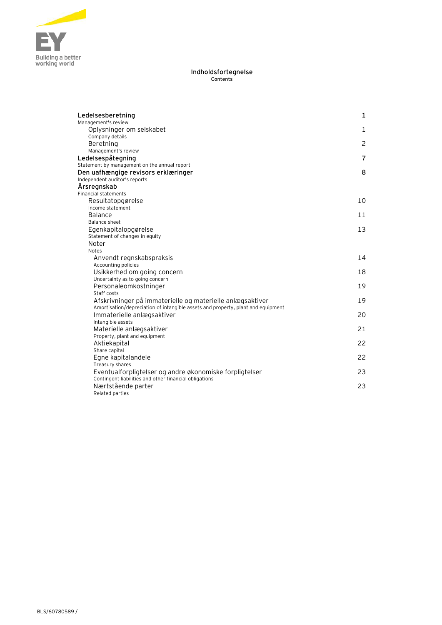

#### **Indholdsfortegnelse Contents**

| Ledelsesberetning                                                                | 1                         |
|----------------------------------------------------------------------------------|---------------------------|
| Management's review                                                              |                           |
| Oplysninger om selskabet                                                         | $\mathbf{1}$              |
| Company details<br>Beretning                                                     | $\mathsf{2}^{\mathsf{2}}$ |
| Management's review                                                              |                           |
| Ledelsespåtegning                                                                | 7                         |
| Statement by management on the annual report                                     |                           |
| Den uafhængige revisors erklæringer                                              | 8                         |
| Independent auditor's reports                                                    |                           |
| Årsregnskab                                                                      |                           |
| <b>Financial statements</b>                                                      |                           |
| Resultatopgørelse                                                                | 10                        |
| Income statement                                                                 |                           |
| <b>Balance</b>                                                                   | 11                        |
| Balance sheet                                                                    |                           |
| Egenkapitalopgørelse                                                             | 13                        |
| Statement of changes in equity<br>Noter                                          |                           |
| <b>Notes</b>                                                                     |                           |
| Anvendt regnskabspraksis                                                         | 14                        |
| Accounting policies                                                              |                           |
| Usikkerhed om going concern                                                      | 18                        |
| Uncertainty as to going concern                                                  |                           |
| Personaleomkostninger                                                            | 19                        |
| Staff costs                                                                      |                           |
| Afskrivninger på immaterielle og materielle anlægsaktiver                        | 19                        |
| Amortisation/depreciation of intangible assets and property, plant and equipment |                           |
| Immaterielle anlægsaktiver                                                       | 20                        |
| Intangible assets<br>Materielle anlægsaktiver                                    | 21                        |
| Property, plant and equipment                                                    |                           |
| Aktiekapital                                                                     | 22                        |
| Share capital                                                                    |                           |
| Egne kapitalandele                                                               | 22                        |
| Treasury shares                                                                  |                           |
| Eventualforpligtelser og andre økonomiske forpligtelser                          | 23                        |
| Contingent liabilities and other financial obligations                           |                           |
| Nærtstående parter                                                               | 23                        |
| Related parties                                                                  |                           |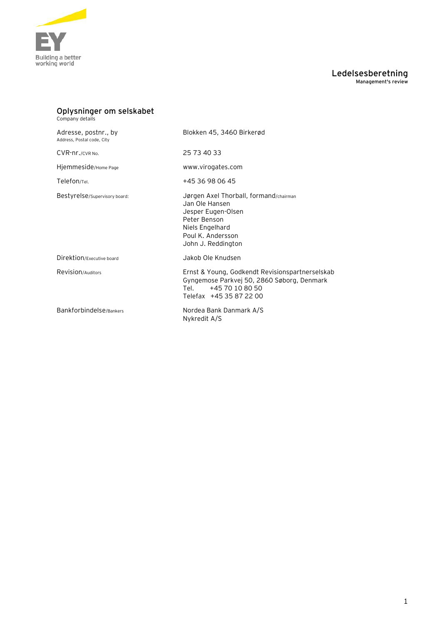

### **Ledelsesberetning Management's review**

| Oplysninger om selskabet<br>Company details        |                                                                                                                                                              |
|----------------------------------------------------|--------------------------------------------------------------------------------------------------------------------------------------------------------------|
| Adresse, postnr., by<br>Address, Postal code, City | Blokken 45, 3460 Birkerød                                                                                                                                    |
| CVR-nr./CVR No.                                    | 25 73 40 33                                                                                                                                                  |
| Hjemmeside/Home Page                               | www.virogates.com                                                                                                                                            |
| Telefon/Tel.                                       | +45 36 98 06 45                                                                                                                                              |
| Bestyrelse/Supervisory board:                      | Jørgen Axel Thorball, formand/chairman<br>Jan Ole Hansen<br>Jesper Eugen-Olsen<br>Peter Benson<br>Niels Engelhard<br>Poul K. Andersson<br>John J. Reddington |
| Direktion/Executive board                          | Jakob Ole Knudsen                                                                                                                                            |
| Revision/Auditors                                  | Ernst & Young, Godkendt Revisionspartnerselskab<br>Gyngemose Parkvej 50, 2860 Søborg, Denmark<br>+45 70 10 80 50<br>ا ام T<br>Telefax +45 35 87 22 00        |
| Bankforbindelse/Bankers                            | Nordea Bank Danmark A/S<br>Nykredit A/S                                                                                                                      |
|                                                    |                                                                                                                                                              |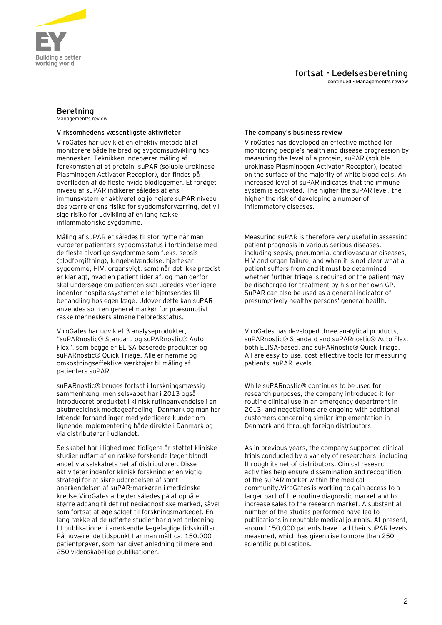

**continued - Management's review**

### **Beretning**

Management's review

### **Virksomhedens væsentligste aktiviteter The company's business review**

ViroGates har udviklet en effektiv metode til at monitorere både helbred og sygdomsudvikling hos mennesker. Teknikken indebærer måling af forekomsten af et protein, suPAR (soluble urokinase Plasminogen Activator Receptor), der findes på overfladen af de fleste hvide blodlegemer. Et forøget niveau af suPAR indikerer således at ens immunsystem er aktiveret og jo højere suPAR niveau des værre er ens risiko for sygdomsforværring, det vil sige risiko for udvikling af en lang række inflammatoriske sygdomme.

Måling af suPAR er således til stor nytte når man vurderer patienters sygdomsstatus i forbindelse med de fleste alvorlige sygdomme som f.eks. sepsis (blodforgiftning), lungebetændelse, hjertekar sygdomme, HIV, organsvigt, samt når det ikke præcist er klarlagt, hvad en patient lider af, og man derfor skal undersøge om patienten skal udredes yderligere indenfor hospitalssystemet eller hjemsendes til behandling hos egen læge. Udover dette kan suPAR anvendes som en generel markør for præsumptivt raske menneskers almene helbredsstatus.

ViroGates har udviklet 3 analyseprodukter, "suPARnostic® Standard og suPARnostic® Auto Flex", som begge er ELISA baserede produkter og suPARnostic® Quick Triage. Alle er nemme og omkostningseffektive værktøjer til måling af patienters suPAR.

suPARnostic® bruges fortsat i forskningsmæssig sammenhæng, men selskabet har i 2013 også introduceret produktet i klinisk rutineanvendelse i en akutmedicinsk modtageafdeling i Danmark og man har løbende forhandlinger med yderligere kunder om lignende implementering både direkte i Danmark og via distributører i udlandet.

Selskabet har i lighed med tidligere år støttet kliniske studier udført af en række forskende læger blandt andet via selskabets net af distributører. Disse aktiviteter indenfor klinisk forskning er en vigtig strategi for at sikre udbredelsen af samt anerkendelsen af suPAR-markøren i medicinske kredse.ViroGates arbejder således på at opnå en større adgang til det rutinediagnostiske marked, såvel som fortsat at øge salget til forskningsmarkedet. En lang række af de udførte studier har givet anledning til publikationer i anerkendte lægefaglige tidsskrifter. På nuværende tidspunkt har man målt ca. 150.000 patientprøver, som har givet anledning til mere end 250 videnskabelige publikationer.

ViroGates has developed an effective method for monitoring people's health and disease progression by measuring the level of a protein, suPAR (soluble urokinase Plasminogen Activator Receptor), located on the surface of the majority of white blood cells. An increased level of suPAR indicates that the immune system is activated. The higher the suPAR level, the higher the risk of developing a number of inflammatory diseases.

Measuring suPAR is therefore very useful in assessing patient prognosis in various serious diseases, including sepsis, pneumonia, cardiovascular diseases, HIV and organ failure, and when it is not clear what a patient suffers from and it must be determined whether further triage is required or the patient may be discharged for treatment by his or her own GP. SuPAR can also be used as a general indicator of presumptively healthy persons' general health.

ViroGates has developed three analytical products, suPARnostic® Standard and suPARnostic® Auto Flex, both ELISA-based, and suPARnostic® Quick Triage. All are easy-to-use, cost-effective tools for measuring patients' suPAR levels.

While suPARnostic® continues to be used for research purposes, the company introduced it for routine clinical use in an emergency department in 2013, and negotiations are ongoing with additional customers concerning similar implementation in Denmark and through foreign distributors.

As in previous years, the company supported clinical trials conducted by a variety of researchers, including through its net of distributors. Clinical research activities help ensure dissemination and recognition of the suPAR marker within the medical community.ViroGates is working to gain access to a larger part of the routine diagnostic market and to increase sales to the research market. A substantial number of the studies performed have led to publications in reputable medical journals. At present, around 150,000 patients have had their suPAR levels measured, which has given rise to more than 250 scientific publications.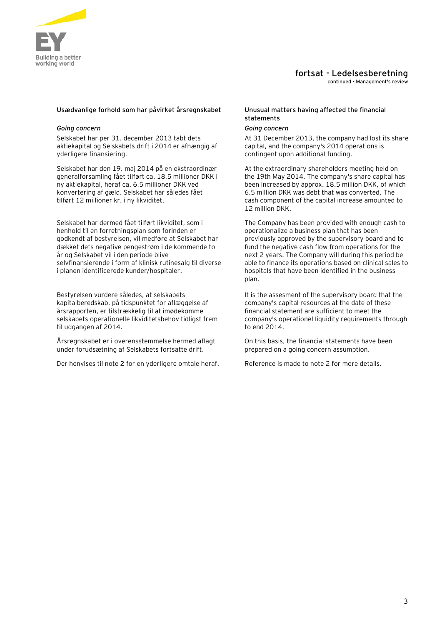

**continued - Management's review**

### **Usædvanlige forhold som har påvirket årsregnskabet Unusual matters having affected the financial**

### *Going concern Going concern*

Selskabet har per 31. december 2013 tabt dets aktiekapital og Selskabets drift i 2014 er afhængig af yderligere finansiering.

Selskabet har den 19. maj 2014 på en ekstraordinær generalforsamling fået tilført ca. 18,5 millioner DKK i ny aktiekapital, heraf ca. 6,5 millioner DKK ved konvertering af gæld. Selskabet har således fået tilført 12 millioner kr. i ny likviditet.

Selskabet har dermed fået tilført likviditet, som i henhold til en forretningsplan som forinden er godkendt af bestyrelsen, vil medføre at Selskabet har dækket dets negative pengestrøm i de kommende to år og Selskabet vil i den periode blive selvfinansierende i form af klinisk rutinesalg til diverse i planen identificerede kunder/hospitaler.

Bestyrelsen vurdere således, at selskabets kapitalberedskab, på tidspunktet for aflæggelse af årsrapporten, er tilstrækkelig til at imødekomme selskabets operationelle likviditetsbehov tidligst frem til udgangen af 2014.

Årsregnskabet er i overensstemmelse hermed aflagt under forudsætning af Selskabets fortsatte drift.

Der henvises til note 2 for en yderligere omtale heraf. Reference is made to note 2 for more details.

# **statements**

At 31 December 2013, the company had lost its share capital, and the company's 2014 operations is contingent upon additional funding.

At the extraordinary shareholders meeting held on the 19th May 2014. The company's share capital has been increased by approx. 18.5 million DKK, of which 6.5 million DKK was debt that was converted. The cash component of the capital increase amounted to 12 million DKK.

The Company has been provided with enough cash to operationalize a business plan that has been previously approved by the supervisory board and to fund the negative cash flow from operations for the next 2 years. The Company will during this period be able to finance its operations based on clinical sales to hospitals that have been identified in the business plan.

It is the assesment of the supervisory board that the company's capital resources at the date of these financial statement are sufficient to meet the company's operationel liquidity requirements through to end 2014.

On this basis, the financial statements have been prepared on a going concern assumption.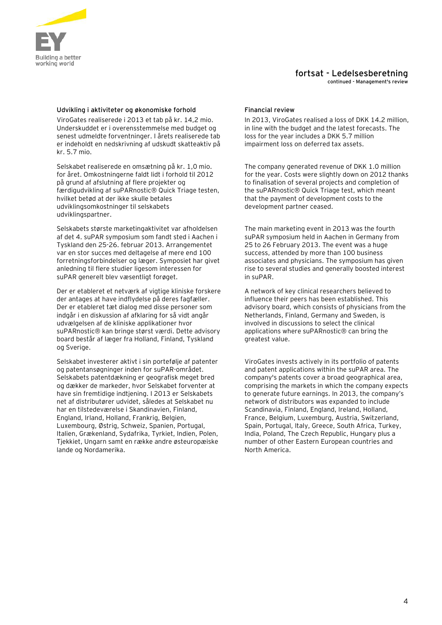

**continued - Management's review**

### Udvikling i aktiviteter og økonomiske forhold Financial review

ViroGates realiserede i 2013 et tab på kr. 14,2 mio. Underskuddet er i overensstemmelse med budget og senest udmeldte forventninger. I årets realiserede tab er indeholdt en nedskrivning af udskudt skatteaktiv på kr. 5.7 mio.

Selskabet realiserede en omsætning på kr. 1,0 mio. for året. Omkostningerne faldt lidt i forhold til 2012 på grund af afslutning af flere projekter og færdigudvikling af suPARnostic® Quick Triage testen, hvilket betød at der ikke skulle betales udviklingsomkostninger til selskabets udviklingspartner.

Selskabets største marketingaktivitet var afholdelsen af det 4. suPAR symposium som fandt sted i Aachen i Tyskland den 25-26. februar 2013. Arrangementet var en stor succes med deltagelse af mere end 100 forretningsforbindelser og læger. Symposiet har givet anledning til flere studier ligesom interessen for suPAR generelt blev væsentligt forøget.

Der er etableret et netværk af vigtige kliniske forskere der antages at have indflydelse på deres fagfæller. Der er etableret tæt dialog med disse personer som indgår i en diskussion af afklaring for så vidt angår udvælgelsen af de kliniske applikationer hvor suPARnostic® kan bringe størst værdi. Dette advisory board består af læger fra Holland, Finland, Tyskland og Sverige.

Selskabet investerer aktivt i sin portefølje af patenter og patentansøgninger inden for suPAR-området. Selskabets patentdækning er geografisk meget bred og dækker de markeder, hvor Selskabet forventer at have sin fremtidige indtjening. I 2013 er Selskabets net af distributører udvidet, således at Selskabet nu har en tilstedeværelse i Skandinavien, Finland, England, Irland, Holland, Frankrig, Belgien, Luxembourg, Østrig, Schweiz, Spanien, Portugal, Italien, Grækenland, Sydafrika, Tyrkiet, Indien, Polen, Tjekkiet, Ungarn samt en række andre østeuropæiske lande og Nordamerika.

In 2013, ViroGates realised a loss of DKK 14.2 million, in line with the budget and the latest forecasts. The loss for the year includes a DKK 5.7 million impairment loss on deferred tax assets.

The company generated revenue of DKK 1.0 million for the year. Costs were slightly down on 2012 thanks to finalisation of several projects and completion of the suPARnostic® Quick Triage test, which meant that the payment of development costs to the development partner ceased.

The main marketing event in 2013 was the fourth suPAR symposium held in Aachen in Germany from 25 to 26 February 2013. The event was a huge success, attended by more than 100 business associates and physicians. The symposium has given rise to several studies and generally boosted interest in suPAR.

A network of key clinical researchers believed to influence their peers has been established. This advisory board, which consists of physicians from the Netherlands, Finland, Germany and Sweden, is involved in discussions to select the clinical applications where suPARnostic® can bring the greatest value.

ViroGates invests actively in its portfolio of patents and patent applications within the suPAR area. The company's patents cover a broad geographical area, comprising the markets in which the company expects to generate future earnings. In 2013, the company's network of distributors was expanded to include Scandinavia, Finland, England, Ireland, Holland, France, Belgium, Luxemburg, Austria, Switzerland, Spain, Portugal, Italy, Greece, South Africa, Turkey, India, Poland, The Czech Republic, Hungary plus a number of other Eastern European countries and North America.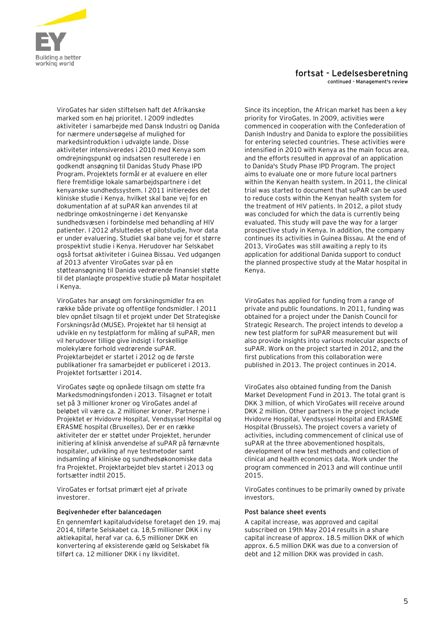

#### **fortsat - Ledelsesberetning continued - Management's review**

ViroGates har siden stiftelsen haft det Afrikanske marked som en høj prioritet. I 2009 indledtes aktiviteter i samarbejde med Dansk Industri og Danida for nærmere undersøgelse af mulighed for markedsintroduktion i udvalgte lande. Disse aktiviteter intensiveredes i 2010 med Kenya som omdrejningspunkt og indsatsen resulterede i en godkendt ansøgning til Danidas Study Phase IPD Program. Projektets formål er at evaluere en eller flere fremtidige lokale samarbejdspartnere i det kenyanske sundhedssystem. I 2011 initieredes det kliniske studie i Kenya, hvilket skal bane vej for en dokumentation af at suPAR kan anvendes til at nedbringe omkostningerne i det Kenyanske sundhedsvæsen i forbindelse med behandling af HIV patienter. I 2012 afsluttedes et pilotstudie, hvor data er under evaluering. Studiet skal bane vej for et større prospektivt studie i Kenya. Herudover har Selskabet også fortsat aktiviteter i Guinea Bissau. Ved udgangen af 2013 afventer ViroGates svar på en støtteansøgning til Danida vedrørende finansiel støtte til det planlagte prospektive studie på Matar hospitalet i Kenya.

ViroGates har ansøgt om forskningsmidler fra en række både private og offentlige fondsmidler. I 2011 blev opnået tilsagn til et projekt under Det Strategiske Forskningsråd (MUSE). Projektet har til hensigt at udvikle en ny testplatform for måling af suPAR, men vil herudover tillige give indsigt i forskellige molekylære forhold vedrørende suPAR. Projektarbejdet er startet i 2012 og de første publikationer fra samarbejdet er publiceret i 2013. Projektet fortsætter i 2014.

ViroGates søgte og opnåede tilsagn om støtte fra Markedsmodningsfonden i 2013. Tilsagnet er totalt set på 3 millioner kroner og ViroGates andel af beløbet vil være ca. 2 millioner kroner. Partnerne i Projektet er Hvidovre Hospital, Vendsyssel Hospital og ERASME hospital (Bruxelles). Der er en række aktiviteter der er støttet under Projektet, herunder initiering af klinisk anvendelse af suPAR på førnævnte hospitaler, udvikling af nye testmetoder samt indsamling af kliniske og sundhedsøkonomiske data fra Projektet. Projektarbejdet blev startet i 2013 og fortsætter indtil 2015.

ViroGates er fortsat primært ejet af private investorer.

### Begivenheder efter balancedagen **Post balance sheet events**

En gennemført kapitaludvidelse foretaget den 19. maj 2014, tilførte Selskabet ca. 18,5 millioner DKK i ny aktiekapital, heraf var ca. 6,5 millioner DKK en konvertering af eksisterende gæld og Selskabet fik tilført ca. 12 millioner DKK i ny likviditet.

Since its inception, the African market has been a key priority for ViroGates. In 2009, activities were commenced in cooperation with the Confederation of Danish Industry and Danida to explore the possibilities for entering selected countries. These activities were intensified in 2010 with Kenya as the main focus area, and the efforts resulted in approval of an application to Danida's Study Phase IPD Program. The project aims to evaluate one or more future local partners within the Kenyan health system. In 2011, the clinical trial was started to document that suPAR can be used to reduce costs within the Kenyan health system for the treatment of HIV patients. In 2012, a pilot study was concluded for which the data is currently being evaluated. This study will pave the way for a larger prospective study in Kenya. In addition, the company continues its activities in Guinea Bissau. At the end of 2013, ViroGates was still awaiting a reply to its application for additional Danida support to conduct the planned prospective study at the Matar hospital in Kenya.

ViroGates has applied for funding from a range of private and public foundations. In 2011, funding was obtained for a project under the Danish Council for Strategic Research. The project intends to develop a new test platform for suPAR measurement but will also provide insights into various molecular aspects of suPAR. Work on the project started in 2012, and the first publications from this collaboration were published in 2013. The project continues in 2014.

ViroGates also obtained funding from the Danish Market Development Fund in 2013. The total grant is DKK 3 million, of which ViroGates will receive around DKK 2 million. Other partners in the project include Hvidovre Hospital, Vendsyssel Hospital and ERASME Hospital (Brussels). The project covers a variety of activities, including commencement of clinical use of suPAR at the three abovementioned hospitals, development of new test methods and collection of clinical and health economics data. Work under the program commenced in 2013 and will continue until 2015.

ViroGates continues to be primarily owned by private investors.

A capital increase, was approved and capital subscribed on 19th May 2014 results in a share capital increase of approx. 18.5 million DKK of which approx. 6.5 million DKK was due to a conversion of debt and 12 million DKK was provided in cash.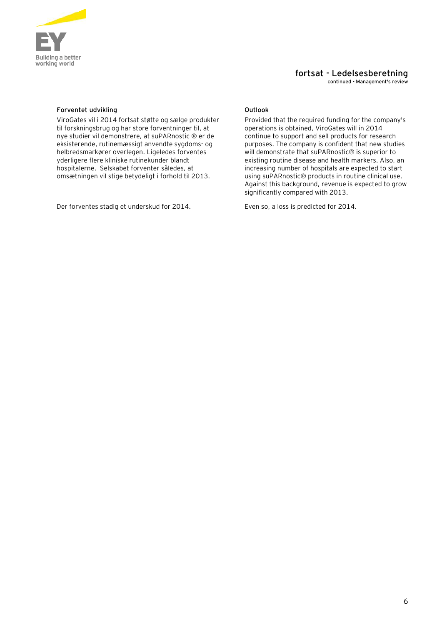

**continued - Management's review**

### **Forventet udvikling Community Community Community Community Community Community Community Community Community**

ViroGates vil i 2014 fortsat støtte og sælge produkter til forskningsbrug og har store forventninger til, at nye studier vil demonstrere, at suPARnostic ® er de eksisterende, rutinemæssigt anvendte sygdoms- og helbredsmarkører overlegen. Ligeledes forventes yderligere flere kliniske rutinekunder blandt hospitalerne. Selskabet forventer således, at omsætningen vil stige betydeligt i forhold til 2013.

Der forventes stadig et underskud for 2014. Even so, a loss is predicted for 2014.

Provided that the required funding for the company's operations is obtained, ViroGates will in 2014 continue to support and sell products for research purposes. The company is confident that new studies will demonstrate that suPARnostic<sup>®</sup> is superior to existing routine disease and health markers. Also, an increasing number of hospitals are expected to start using suPARnostic® products in routine clinical use. Against this background, revenue is expected to grow significantly compared with 2013.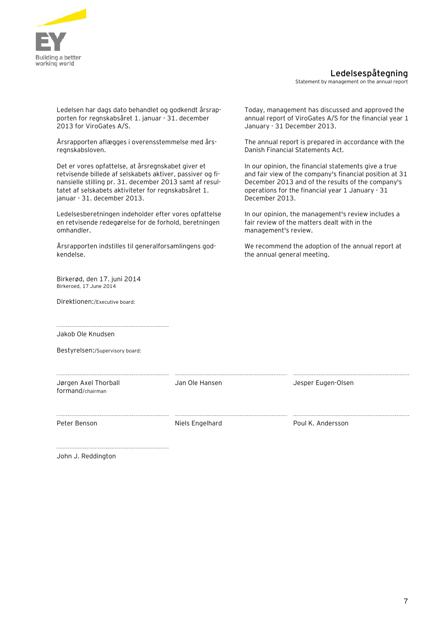

### **Ledelsespåtegning**

Statement by management on the annual report

Ledelsen har dags dato behandlet og godkendt årsrapporten for regnskabsåret 1. januar - 31. december 2013 for ViroGates A/S.

Årsrapporten aflægges i overensstemmelse med årsregnskabsloven.

Det er vores opfattelse, at årsregnskabet giver et retvisende billede af selskabets aktiver, passiver og finansielle stilling pr. 31. december 2013 samt af resultatet af selskabets aktiviteter for regnskabsåret 1. januar - 31. december 2013.

Ledelsesberetningen indeholder efter vores opfattelse en retvisende redegørelse for de forhold, beretningen omhandler.

Årsrapporten indstilles til generalforsamlingens godkendelse.

Birkerød, den 17. juni 2014 Birkeroed, 17 June 2014

Direktionen:/Executive board:

Today, management has discussed and approved the annual report of ViroGates A/S for the financial year 1 January - 31 December 2013.

The annual report is prepared in accordance with the Danish Financial Statements Act.

In our opinion, the financial statements give a true and fair view of the company's financial position at 31 December 2013 and of the results of the company's operations for the financial year 1 January - 31 December 2013.

In our opinion, the management's review includes a fair review of the matters dealt with in the management's review.

We recommend the adoption of the annual report at the annual general meeting.

Jakob Ole Knudsen

Bestyrelsen:/Supervisory board:

Jørgen Axel Thorball formand/chairman

Jan Ole Hansen and Desper Eugen-Olsen

Peter Benson **Niels Engelhard** Poul K. Andersson

John J. Reddington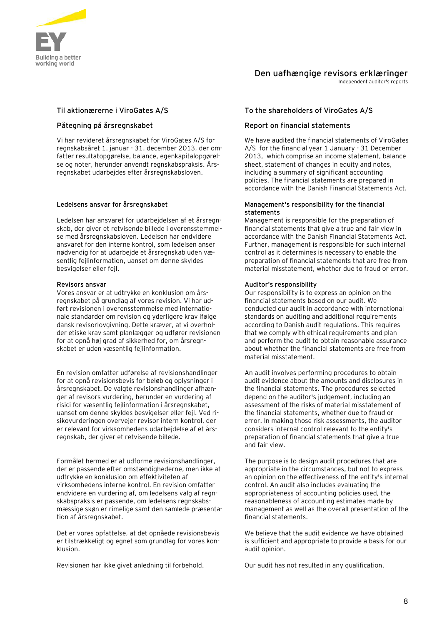

### **Den uafhængige revisors erklæringer**

Independent auditor's reports

Vi har revideret årsregnskabet for ViroGates A/S for regnskabsåret 1. januar - 31. december 2013, der omfatter resultatopgørelse, balance, egenkapitalopgørelse og noter, herunder anvendt regnskabspraksis. Årsregnskabet udarbejdes efter årsregnskabsloven.

Ledelsen har ansvaret for udarbejdelsen af et årsregnskab, der giver et retvisende billede i overensstemmelse med årsregnskabsloven. Ledelsen har endvidere ansvaret for den interne kontrol, som ledelsen anser nødvendig for at udarbejde et årsregnskab uden væsentlig fejlinformation, uanset om denne skyldes besvigelser eller fejl.

Vores ansvar er at udtrykke en konklusion om årsregnskabet på grundlag af vores revision. Vi har udført revisionen i overensstemmelse med internationale standarder om revision og yderligere krav ifølge dansk revisorlovgivning. Dette kræver, at vi overholder etiske krav samt planlægger og udfører revisionen for at opnå høj grad af sikkerhed for, om årsregnskabet er uden væsentlig fejlinformation.

En revision omfatter udførelse af revisionshandlinger for at opnå revisionsbevis for beløb og oplysninger i årsregnskabet. De valgte revisionshandlinger afhænger af revisors vurdering, herunder en vurdering af risici for væsentlig fejlinformation i årsregnskabet, uanset om denne skyldes besvigelser eller fejl. Ved risikovurderingen overvejer revisor intern kontrol, der er relevant for virksomhedens udarbejdelse af et årsregnskab, der giver et retvisende billede.

Formålet hermed er at udforme revisionshandlinger, der er passende efter omstændighederne, men ikke at udtrykke en konklusion om effektiviteten af virksomhedens interne kontrol. En revision omfatter endvidere en vurdering af, om ledelsens valg af regnskabspraksis er passende, om ledelsens regnskabsmæssige skøn er rimelige samt den samlede præsentation af årsregnskabet.

Det er vores opfattelse, at det opnåede revisionsbevis er tilstrækkeligt og egnet som grundlag for vores konklusion.

Revisionen har ikke givet anledning til forbehold. Our audit has not resulted in any qualification.

### **Til aktionærerne i ViroGates A/S To the shareholders of ViroGates A/S**

### **Påtegning på årsregnskabet Report on financial statements**

We have audited the financial statements of ViroGates A/S for the financial year 1 January - 31 December 2013, which comprise an income statement, balance sheet, statement of changes in equity and notes, including a summary of significant accounting policies. The financial statements are prepared in accordance with the Danish Financial Statements Act.

#### **Ledelsens ansvar for årsregnskabet Management's responsibility for the financial statements**

Management is responsible for the preparation of financial statements that give a true and fair view in accordance with the Danish Financial Statements Act. Further, management is responsible for such internal control as it determines is necessary to enable the preparation of financial statements that are free from material misstatement, whether due to fraud or error.

### **Revisors ansvar Auditor's responsibility**

Our responsibility is to express an opinion on the financial statements based on our audit. We conducted our audit in accordance with international standards on auditing and additional requirements according to Danish audit regulations. This requires that we comply with ethical requirements and plan and perform the audit to obtain reasonable assurance about whether the financial statements are free from material misstatement.

An audit involves performing procedures to obtain audit evidence about the amounts and disclosures in the financial statements. The procedures selected depend on the auditor's judgement, including an assessment of the risks of material misstatement of the financial statements, whether due to fraud or error. In making those risk assessments, the auditor considers internal control relevant to the entity's preparation of financial statements that give a true and fair view.

The purpose is to design audit procedures that are appropriate in the circumstances, but not to express an opinion on the effectiveness of the entity's internal control. An audit also includes evaluating the appropriateness of accounting policies used, the reasonableness of accounting estimates made by management as well as the overall presentation of the financial statements.

We believe that the audit evidence we have obtained is sufficient and appropriate to provide a basis for our audit opinion.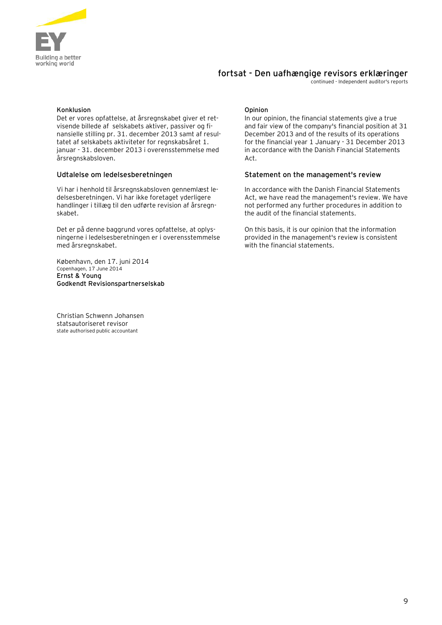

### **fortsat - Den uafhængige revisors erklæringer**

continued - Independent auditor's reports

### **Konklusion Opinion**

Det er vores opfattelse, at årsregnskabet giver et retvisende billede af selskabets aktiver, passiver og finansielle stilling pr. 31. december 2013 samt af resultatet af selskabets aktiviteter for regnskabsåret 1. januar - 31. december 2013 i overensstemmelse med årsregnskabsloven.

Vi har i henhold til årsregnskabsloven gennemlæst ledelsesberetningen. Vi har ikke foretaget yderligere handlinger i tillæg til den udførte revision af årsregnskabet.

Det er på denne baggrund vores opfattelse, at oplysningerne i ledelsesberetningen er i overensstemmelse med årsregnskabet.

København, den 17. juni 2014 Copenhagen, 17 June 2014 **Ernst & Young Godkendt Revisionspartnerselskab**

Christian Schwenn Johansen statsautoriseret revisor state authorised public accountant

In our opinion, the financial statements give a true and fair view of the company's financial position at 31 December 2013 and of the results of its operations for the financial year 1 January - 31 December 2013 in accordance with the Danish Financial Statements Act.

### **Udtalelse om ledelsesberetningen Statement on the management's review**

In accordance with the Danish Financial Statements Act, we have read the management's review. We have not performed any further procedures in addition to the audit of the financial statements.

On this basis, it is our opinion that the information provided in the management's review is consistent with the financial statements.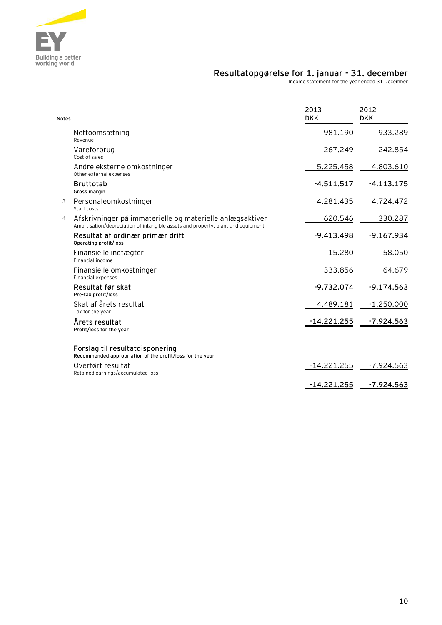

### **Resultatopgørelse for 1. januar - 31. december**

Income statement for the year ended 31 December

| <b>Notes</b> |                                                                                                                                               | 2013<br><b>DKK</b> | 2012<br><b>DKK</b> |
|--------------|-----------------------------------------------------------------------------------------------------------------------------------------------|--------------------|--------------------|
|              | Nettoomsætning<br>Revenue                                                                                                                     | 981.190            | 933.289            |
|              | Vareforbrug<br>Cost of sales                                                                                                                  | 267.249            | 242.854            |
|              | Andre eksterne omkostninger<br>Other external expenses                                                                                        | 5.225.458          | 4.803.610          |
|              | <b>Bruttotab</b><br>Gross margin                                                                                                              | $-4.511.517$       | $-4.113.175$       |
| 3            | Personaleomkostninger<br>Staff costs                                                                                                          | 4.281.435          | 4.724.472          |
| 4            | Afskrivninger på immaterielle og materielle anlægsaktiver<br>Amortisation/depreciation of intangible assets and property, plant and equipment | 620.546            | 330.287            |
|              | Resultat af ordinær primær drift<br>Operating profit/loss                                                                                     | $-9.413.498$       | $-9.167.934$       |
|              | Finansielle indtægter<br>Financial income                                                                                                     | 15.280             | 58.050             |
|              | Finansielle omkostninger<br><b>Financial expenses</b>                                                                                         | 333.856            | 64.679             |
|              | Resultat før skat<br>Pre-tax profit/loss                                                                                                      | $-9.732.074$       | $-9.174.563$       |
|              | Skat af årets resultat<br>Tax for the year                                                                                                    | 4.489.181          | $-1.250.000$       |
|              | Årets resultat<br>Profit/loss for the year                                                                                                    | -14.221.255        | $-7.924.563$       |
|              | Forslag til resultatdisponering<br>Recommended appropriation of the profit/loss for the year                                                  |                    |                    |
|              | Overført resultat<br>Retained earnings/accumulated loss                                                                                       | $-14.221.255$      | -7.924.563         |
|              |                                                                                                                                               | $-14.221.255$      | $-7.924.563$       |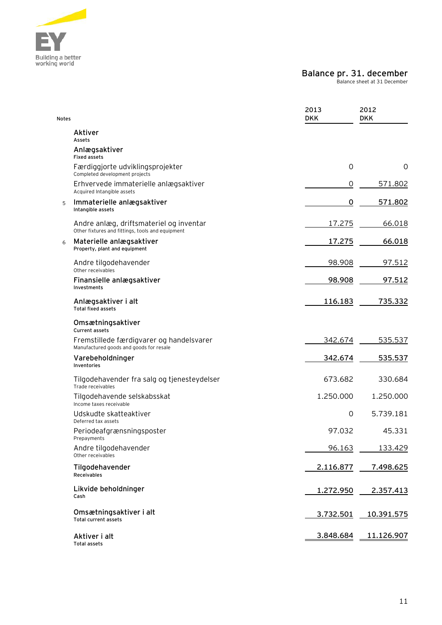

### **Balance pr. 31. december**

Balance sheet at 31 December

| <b>Notes</b> |                                                                                             | 2013<br><b>DKK</b> | 2012<br><b>DKK</b> |
|--------------|---------------------------------------------------------------------------------------------|--------------------|--------------------|
|              | Aktiver<br>Assets                                                                           |                    |                    |
|              | Anlægsaktiver<br><b>Fixed assets</b>                                                        |                    |                    |
|              | Færdiggjorte udviklingsprojekter<br>Completed development projects                          | $\mathbf 0$        | 0                  |
|              | Erhvervede immaterielle anlægsaktiver<br>Acquired Intangible assets                         | $\mathbf 0$        | 571.802            |
| 5            | Immaterielle anlægsaktiver<br>Intangible assets                                             | 0                  | 571.802            |
|              | Andre anlæg, driftsmateriel og inventar<br>Other fixtures and fittings, tools and equipment | 17.275             | 66.018             |
| 6            | Materielle anlægsaktiver<br>Property, plant and equipment                                   | 17.275             | 66.018             |
|              | Andre tilgodehavender<br>Other receivables                                                  | 98.908             | 97.512             |
|              | Finansielle anlægsaktiver<br>Investments                                                    | 98.908             | 97.512             |
|              | Anlægsaktiver i alt<br><b>Total fixed assets</b>                                            | 116.183            | 735.332            |
|              | Omsætningsaktiver<br><b>Current assets</b>                                                  |                    |                    |
|              | Fremstillede færdigvarer og handelsvarer<br>Manufactured goods and goods for resale         | 342.674            | 535.537            |
|              | Varebeholdninger<br>Inventories                                                             | 342.674            | 535.537            |
|              | Tilgodehavender fra salg og tjenesteydelser<br>Trade receivables                            | 673.682            | 330.684            |
|              | Tilgodehavende selskabsskat<br>Income taxes receivable                                      | 1.250.000          | 1.250.000          |
|              | Udskudte skatteaktiver<br>Deferred tax assets                                               | $\mathbf 0$        | 5.739.181          |
|              | Periodeafgrænsningsposter<br>Prepayments                                                    | 97.032             | 45.331             |
|              | Andre tilgodehavender<br>Other receivables                                                  | 96.163             | 133.429            |
|              | Tilgodehavender<br>Receivables                                                              | 2.116.877          | 7.498.625          |
|              | Likvide beholdninger<br>Cash                                                                | 1.272.950          | 2.357.413          |
|              | Omsætningsaktiver i alt<br><b>Total current assets</b>                                      | 3.732.501          | <u>10.391.575</u>  |
|              | Aktiver i alt<br><b>Total assets</b>                                                        | 3.848.684          | 11.126.907         |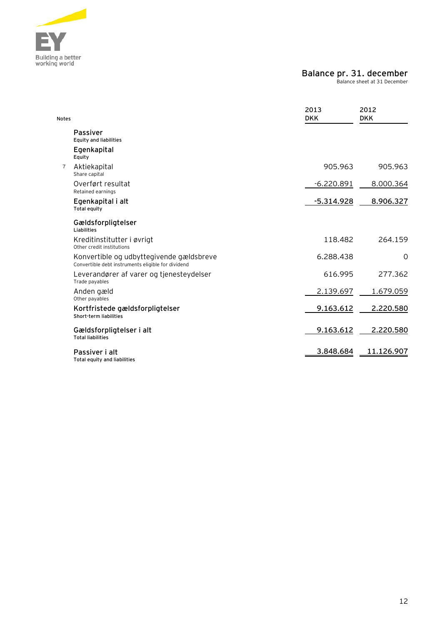

### **Balance pr. 31. december**

Balance sheet at 31 December

| <b>Notes</b>   |                                                                                                | 2013<br><b>DKK</b> | 2012<br><b>DKK</b> |
|----------------|------------------------------------------------------------------------------------------------|--------------------|--------------------|
|                | <b>Passiver</b><br><b>Equity and liabilities</b>                                               |                    |                    |
|                | Egenkapital<br>Equity                                                                          |                    |                    |
| $\overline{7}$ | Aktiekapital<br>Share capital                                                                  | 905.963            | 905.963            |
|                | Overført resultat<br>Retained earnings                                                         | $-6.220.891$       | 8.000.364          |
|                | Egenkapital i alt<br>Total equity                                                              | $-5.314.928$       | 8.906.327          |
|                | Gældsforpligtelser<br>Liabilities                                                              |                    |                    |
|                | Kreditinstitutter i øvrigt<br>Other credit institutions                                        | 118.482            | 264.159            |
|                | Konvertible og udbyttegivende gældsbreve<br>Convertible debt instruments eligible for dividend | 6.288.438          | $\Omega$           |
|                | Leverandører af varer og tjenesteydelser<br>Trade payables                                     | 616.995            | 277.362            |
|                | Anden gæld<br>Other payables                                                                   | 2.139.697          | 1.679.059          |
|                | Kortfristede gældsforpligtelser<br>Short-term liabilities                                      | 9.163.612          | 2.220.580          |
|                | Gældsforpligtelser i alt<br><b>Total liabilities</b>                                           | 9.163.612          | 2.220.580          |
|                | Passiver i alt<br>Total equity and liabilities                                                 | 3.848.684          | 11.126.907         |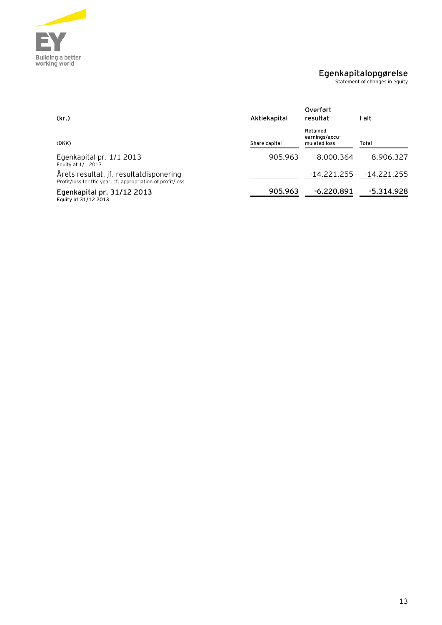

### **Egenkapitalopgørelse**

Statement of changes in equity

| (kr.)                                                                                                 | Aktiekapital  | Overført<br>resultat                       | alt         |
|-------------------------------------------------------------------------------------------------------|---------------|--------------------------------------------|-------------|
| (DKK)                                                                                                 | Share capital | Retained<br>earnings/accu-<br>mulated loss | Total       |
| Egenkapital pr. 1/1 2013<br>Equity at 1/1 2013                                                        | 905.963       | 8.000.364                                  | 8.906.327   |
| Årets resultat, jf. resultatdisponering<br>Profit/loss for the year, cf. appropriation of profit/loss |               | -14.221.255                                | -14.221.255 |
| Egenkapital pr. 31/12 2013<br>Equity at 31/12 2013                                                    | 905.963       | $-6.220.891$                               | -5.314.928  |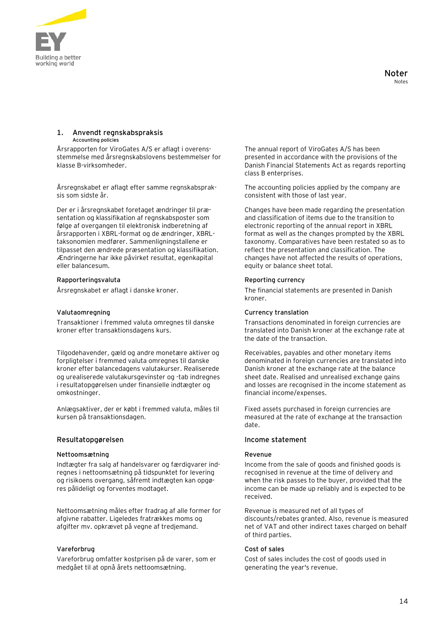

#### **1. Anvendt regnskabspraksis Accounting policies**

Årsrapporten for ViroGates A/S er aflagt i overensstemmelse med årsregnskabslovens bestemmelser for klasse B-virksomheder.

Årsregnskabet er aflagt efter samme regnskabspraksis som sidste år.

Der er i årsregnskabet foretaget ændringer til præsentation og klassifikation af regnskabsposter som følge af overgangen til elektronisk indberetning af årsrapporten i XBRL-format og de ændringer, XBRLtaksonomien medfører. Sammenligningstallene er tilpasset den ændrede præsentation og klassifikation. Ændringerne har ikke påvirket resultat, egenkapital eller balancesum.

### **Rapporteringsvaluta Reporting currency**

Transaktioner i fremmed valuta omregnes til danske kroner efter transaktionsdagens kurs.

Tilgodehavender, gæld og andre monetære aktiver og forpligtelser i fremmed valuta omregnes til danske kroner efter balancedagens valutakurser. Realiserede og urealiserede valutakursgevinster og -tab indregnes i resultatopgørelsen under finansielle indtægter og omkostninger.

Anlægsaktiver, der er købt i fremmed valuta, måles til kursen på transaktionsdagen.

### **Resultatopgørelsen Income statement**

### **Nettoomsætning** Revenue

Indtægter fra salg af handelsvarer og færdigvarer indregnes i nettoomsætning på tidspunktet for levering og risikoens overgang, såfremt indtægten kan opgøres pålideligt og forventes modtaget.

Nettoomsætning måles efter fradrag af alle former for afgivne rabatter. Ligeledes fratrækkes moms og afgifter mv. opkrævet på vegne af tredjemand.

Vareforbrug omfatter kostprisen på de varer, som er medgået til at opnå årets nettoomsætning.

The annual report of ViroGates A/S has been presented in accordance with the provisions of the Danish Financial Statements Act as regards reporting class B enterprises.

The accounting policies applied by the company are consistent with those of last year.

Changes have been made regarding the presentation and classification of items due to the transition to electronic reporting of the annual report in XBRL format as well as the changes prompted by the XBRL taxonomy. Comparatives have been restated so as to reflect the presentation and classification. The changes have not affected the results of operations, equity or balance sheet total.

Årsregnskabet er aflagt i danske kroner. The financial statements are presented in Danish kroner.

### **Valutaomregning Currency translation**

Transactions denominated in foreign currencies are translated into Danish kroner at the exchange rate at the date of the transaction.

Receivables, payables and other monetary items denominated in foreign currencies are translated into Danish kroner at the exchange rate at the balance sheet date. Realised and unrealised exchange gains and losses are recognised in the income statement as financial income/expenses.

Fixed assets purchased in foreign currencies are measured at the rate of exchange at the transaction date.

Income from the sale of goods and finished goods is recognised in revenue at the time of delivery and when the risk passes to the buyer, provided that the income can be made up reliably and is expected to be received.

Revenue is measured net of all types of discounts/rebates granted. Also, revenue is measured net of VAT and other indirect taxes charged on behalf of third parties.

### **Vareforbrug Cost of sales**

Cost of sales includes the cost of goods used in generating the year's revenue.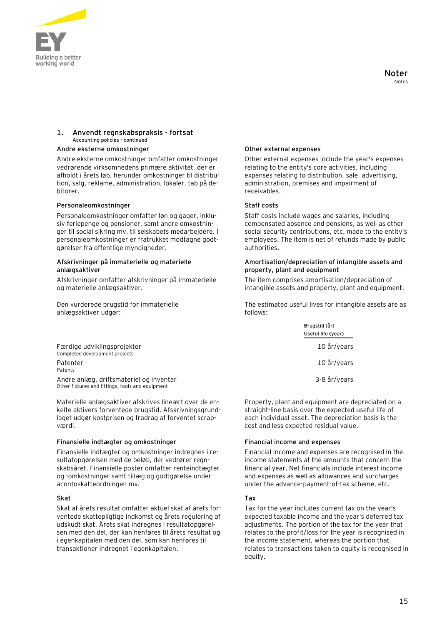

### **1. Anvendt regnskabspraksis - fortsat Accounting policies - continued**

#### Andre eksterne omkostninger **and the external expenses** other external expenses

Andre eksterne omkostninger omfatter omkostninger vedrørende virksomhedens primære aktivitet, der er afholdt i årets løb, herunder omkostninger til distribution, salg, reklame, administration, lokaler, tab på debitorer.

#### **Personaleomkostninger Staff costs**

Personaleomkostninger omfatter løn og gager, inklusiv feriepenge og pensioner, samt andre omkostninger til social sikring mv. til selskabets medarbejdere. I personaleomkostninger er fratrukket modtagne godtgørelser fra offentlige myndigheder.

#### **Afskrivninger på immaterielle og materielle anlægsaktiver**

Afskrivninger omfatter afskrivninger på immaterielle og materielle anlægsaktiver.

Den vurderede brugstid for immaterielle anlægsaktiver udgør:

Other external expenses include the year's expenses relating to the entity's core activities, including expenses relating to distribution, sale, advertising, administration, premises and impairment of receivables.

Staff costs include wages and salaries, including compensated absence and pensions, as well as other social security contributions, etc. made to the entity's employees. The item is net of refunds made by public authorities.

#### **Amortisation/depreciation of intangible assets and property, plant and equipment**

The item comprises amortisation/depreciation of intangible assets and property, plant and equipment.

The estimated useful lives for intangible assets are as follows:

**Brugstid (år)**

|                                                               | <u>Di uustiu tai 7</u><br>Useful life (year) |
|---------------------------------------------------------------|----------------------------------------------|
| Færdige udviklingsprojekter<br>Completed development projects | 10 år/years                                  |
| Patenter<br><b>Patents</b>                                    | 10 år/years                                  |
| Andre anlæg, driftsmateriel og inventar                       | 3-8 år/years                                 |

Property, plant and equipment are depreciated on a straight-line basis over the expected useful life of each individual asset. The depreciation basis is the cost and less expected residual value.

Financial income and expenses are recognised in the income statements at the amounts that concern the financial year. Net financials include interest income and expenses as well as allowances and surcharges under the advance-payment-of-tax scheme, etc.

Tax for the year includes current tax on the year's expected taxable income and the year's deferred tax adjustments. The portion of the tax for the year that relates to the profit/loss for the year is recognised in the income statement, whereas the portion that relates to transactions taken to equity is recognised in equity.

Other fixtures and fittings, tools and equipment

Materielle anlægsaktiver afskrives lineært over de enkelte aktivers forventede brugstid. Afskrivningsgrundlaget udgør kostprisen og fradrag af forventet scrapværdi.

### **Finansielle indtægter og omkostninger Financial income and expenses**

Finansielle indtægter og omkostninger indregnes i resultatopgørelsen med de beløb, der vedrører regnskabsåret. Finansielle poster omfatter renteindtægter og -omkostninger samt tillæg og godtgørelse under acontoskatteordningen mv.

### **Skat Tax**

Skat af årets resultat omfatter aktuel skat af årets forventede skattepligtige indkomst og årets regulering af udskudt skat. Årets skat indregnes i resultatopgørelsen med den del, der kan henføres til årets resultat og i egenkapitalen med den del, som kan henføres til transaktioner indregnet i egenkapitalen.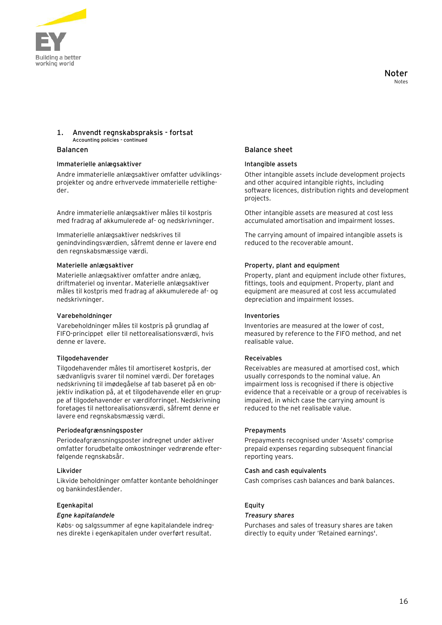

### **1. Anvendt regnskabspraksis - fortsat Accounting policies - continued**

#### **Immaterielle anlægsaktiver Intangible assets**

Andre immaterielle anlægsaktiver omfatter udviklingsprojekter og andre erhvervede immaterielle rettigheder.

Andre immaterielle anlægsaktiver måles til kostpris med fradrag af akkumulerede af- og nedskrivninger.

Immaterielle anlægsaktiver nedskrives til genindvindingsværdien, såfremt denne er lavere end den regnskabsmæssige værdi.

Materielle anlægsaktiver omfatter andre anlæg, driftmateriel og inventar. Materielle anlægsaktiver måles til kostpris med fradrag af akkumulerede af- og nedskrivninger.

#### **Varebeholdninger Inventories**

Varebeholdninger måles til kostpris på grundlag af FIFO-princippet eller til nettorealisationsværdi, hvis denne er lavere.

#### **Tilgodehavender Receivables**

Tilgodehavender måles til amortiseret kostpris, der sædvanligvis svarer til nominel værdi. Der foretages nedskrivning til imødegåelse af tab baseret på en objektiv indikation på, at et tilgodehavende eller en gruppe af tilgodehavender er værdiforringet. Nedskrivning foretages til nettorealisationsværdi, såfremt denne er lavere end regnskabsmæssig værdi.

#### Periodeafgrænsningsposter **Prepayments**

Periodeafgrænsningsposter indregnet under aktiver omfatter forudbetalte omkostninger vedrørende efterfølgende regnskabsår.

Likvide beholdninger omfatter kontante beholdninger og bankindeståender.

#### **Egenkapital Equity**

#### *Egne kapitalandele Treasury shares*

Købs- og salgssummer af egne kapitalandele indregnes direkte i egenkapitalen under overført resultat.

### **Balancen Balance sheet**

Other intangible assets include development projects and other acquired intangible rights, including software licences, distribution rights and development projects.

Other intangible assets are measured at cost less accumulated amortisation and impairment losses.

The carrying amount of impaired intangible assets is reduced to the recoverable amount.

#### **Materielle anlægsaktiver Property, plant and equipment**

Property, plant and equipment include other fixtures, fittings, tools and equipment. Property, plant and equipment are measured at cost less accumulated depreciation and impairment losses.

Inventories are measured at the lower of cost, measured by reference to the FIFO method, and net realisable value.

Receivables are measured at amortised cost, which usually corresponds to the nominal value. An impairment loss is recognised if there is objective evidence that a receivable or a group of receivables is impaired, in which case the carrying amount is reduced to the net realisable value.

Prepayments recognised under 'Assets' comprise prepaid expenses regarding subsequent financial reporting years.

#### **Likvider Cash and cash equivalents**

Cash comprises cash balances and bank balances.

Purchases and sales of treasury shares are taken directly to equity under 'Retained earnings'.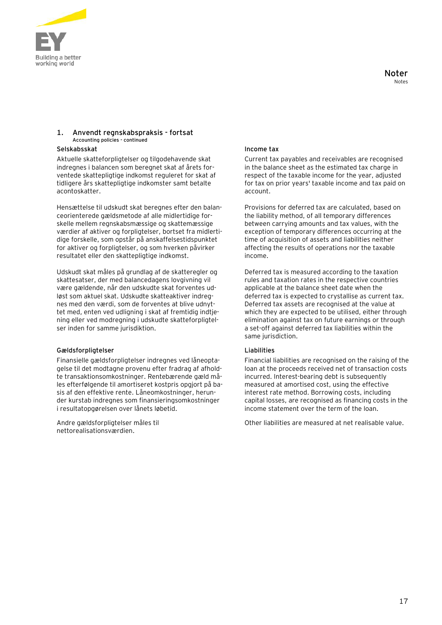

### **1. Anvendt regnskabspraksis - fortsat Accounting policies - continued**

### **Selskabsskat Income tax**

Aktuelle skatteforpligtelser og tilgodehavende skat indregnes i balancen som beregnet skat af årets forventede skattepligtige indkomst reguleret for skat af tidligere års skattepligtige indkomster samt betalte acontoskatter.

Hensættelse til udskudt skat beregnes efter den balanceorienterede gældsmetode af alle midlertidige forskelle mellem regnskabsmæssige og skattemæssige værdier af aktiver og forpligtelser, bortset fra midlertidige forskelle, som opstår på anskaffelsestidspunktet for aktiver og forpligtelser, og som hverken påvirker resultatet eller den skattepligtige indkomst.

Udskudt skat måles på grundlag af de skatteregler og skattesatser, der med balancedagens lovgivning vil være gældende, når den udskudte skat forventes udløst som aktuel skat. Udskudte skatteaktiver indregnes med den værdi, som de forventes at blive udnyttet med, enten ved udligning i skat af fremtidig indtjening eller ved modregning i udskudte skatteforpligtelser inden for samme jurisdiktion.

#### **Gældsforpligtelser Liabilities**

Finansielle gældsforpligtelser indregnes ved låneoptagelse til det modtagne provenu efter fradrag af afholdte transaktionsomkostninger. Rentebærende gæld måles efterfølgende til amortiseret kostpris opgjort på basis af den effektive rente. Låneomkostninger, herunder kurstab indregnes som finansieringsomkostninger i resultatopgørelsen over lånets løbetid.

Andre gældsforpligtelser måles til nettorealisationsværdien.

Current tax payables and receivables are recognised in the balance sheet as the estimated tax charge in respect of the taxable income for the year, adjusted for tax on prior years' taxable income and tax paid on account.

Provisions for deferred tax are calculated, based on the liability method, of all temporary differences between carrying amounts and tax values, with the exception of temporary differences occurring at the time of acquisition of assets and liabilities neither affecting the results of operations nor the taxable income.

Deferred tax is measured according to the taxation rules and taxation rates in the respective countries applicable at the balance sheet date when the deferred tax is expected to crystallise as current tax. Deferred tax assets are recognised at the value at which they are expected to be utilised, either through elimination against tax on future earnings or through a set-off against deferred tax liabilities within the same jurisdiction.

Financial liabilities are recognised on the raising of the loan at the proceeds received net of transaction costs incurred. Interest-bearing debt is subsequently measured at amortised cost, using the effective interest rate method. Borrowing costs, including capital losses, are recognised as financing costs in the income statement over the term of the loan.

Other liabilities are measured at net realisable value.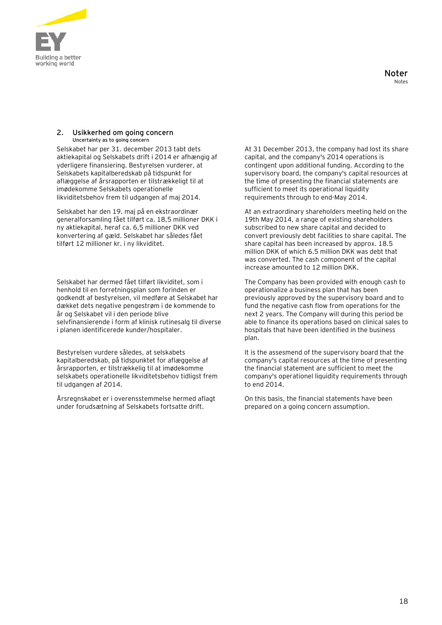

#### **2. Usikkerhed om going concern Uncertainty as to going concern**

Selskabet har per 31. december 2013 tabt dets aktiekapital og Selskabets drift i 2014 er afhængig af yderligere finansiering. Bestyrelsen vurderer, at Selskabets kapitalberedskab på tidspunkt for aflæggelse af årsrapporten er tilstrækkeligt til at imødekomme Selskabets operationelle likviditetsbehov frem til udgangen af maj 2014.

Selskabet har den 19. maj på en ekstraordinær generalforsamling fået tilført ca. 18,5 millioner DKK i ny aktiekapital, heraf ca. 6,5 millioner DKK ved konvertering af gæld. Selskabet har således fået tilført 12 millioner kr. i ny likviditet.

Selskabet har dermed fået tilført likviditet, som i henhold til en forretningsplan som forinden er godkendt af bestyrelsen, vil medføre at Selskabet har dækket dets negative pengestrøm i de kommende to år og Selskabet vil i den periode blive selvfinansierende i form af klinisk rutinesalg til diverse i planen identificerede kunder/hospitaler.

Bestyrelsen vurdere således, at selskabets kapitalberedskab, på tidspunktet for aflæggelse af årsrapporten, er tilstrækkelig til at imødekomme selskabets operationelle likviditetsbehov tidligst frem til udgangen af 2014.

Årsregnskabet er i overensstemmelse hermed aflagt under forudsætning af Selskabets fortsatte drift.

At 31 December 2013, the company had lost its share capital, and the company's 2014 operations is contingent upon additional funding. According to the supervisory board, the company's capital resources at the time of presenting the financial statements are sufficient to meet its operational liquidity requirements through to end-May 2014.

At an extraordinary shareholders meeting held on the 19th May 2014, a range of existing shareholders subscribed to new share capital and decided to convert previously debt facilities to share capital. The share capital has been increased by approx. 18.5 million DKK of which 6.5 million DKK was debt that was converted. The cash component of the capital increase amounted to 12 million DKK.

The Company has been provided with enough cash to operationalize a business plan that has been previously approved by the supervisory board and to fund the negative cash flow from operations for the next 2 years. The Company will during this period be able to finance its operations based on clinical sales to hospitals that have been identified in the business plan.

It is the assesmend of the supervisory board that the company's capital resources at the time of presenting the financial statement are sufficient to meet the company's operationel liquidity requirements through to end 2014.

On this basis, the financial statements have been prepared on a going concern assumption.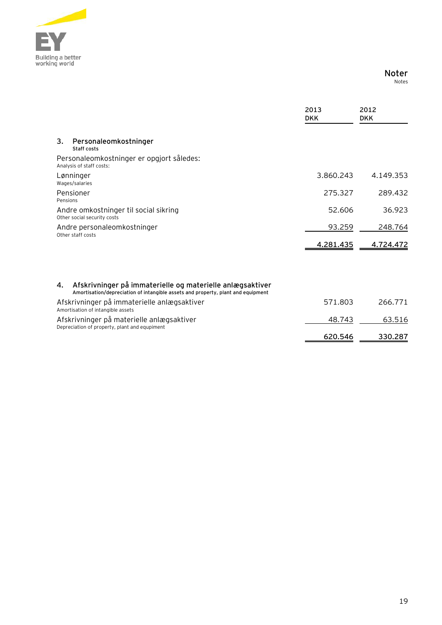

### **Noter** es

|  | Not |  |
|--|-----|--|
|  |     |  |

|                                                  |                                                                                                                                               | 2013<br><b>DKK</b> | 2012<br><b>DKK</b> |
|--------------------------------------------------|-----------------------------------------------------------------------------------------------------------------------------------------------|--------------------|--------------------|
| 3.                                               | Personaleomkostninger<br>Staff costs                                                                                                          |                    |                    |
|                                                  | Personaleomkostninger er opgjort således:<br>Analysis of staff costs:                                                                         |                    |                    |
|                                                  | Lønninger<br>Wages/salaries                                                                                                                   | 3.860.243          | 4.149.353          |
| Pensions                                         | Pensioner                                                                                                                                     | 275.327            | 289.432            |
|                                                  | Andre omkostninger til social sikring<br>Other social security costs                                                                          | 52.606             | 36.923             |
| Andre personaleomkostninger<br>Other staff costs | 93.259                                                                                                                                        | 248.764            |                    |
|                                                  |                                                                                                                                               | 4.281.435          | 4.724.472          |
|                                                  |                                                                                                                                               |                    |                    |
| 4.                                               | Afskrivninger på immaterielle og materielle anlægsaktiver<br>Amortisation/depreciation of intangible assets and property, plant and equipment |                    |                    |
|                                                  | Afskrivninger på immaterielle anlægsaktiver<br>Amortisation of intangible assets                                                              | 571.803            | 266.771            |
|                                                  | Afskrivninger på materielle anlægsaktiver<br>Depreciation of property, plant and equpiment                                                    | 48.743             | 63.516             |
|                                                  |                                                                                                                                               | 620.546            | 330.287            |
|                                                  |                                                                                                                                               |                    |                    |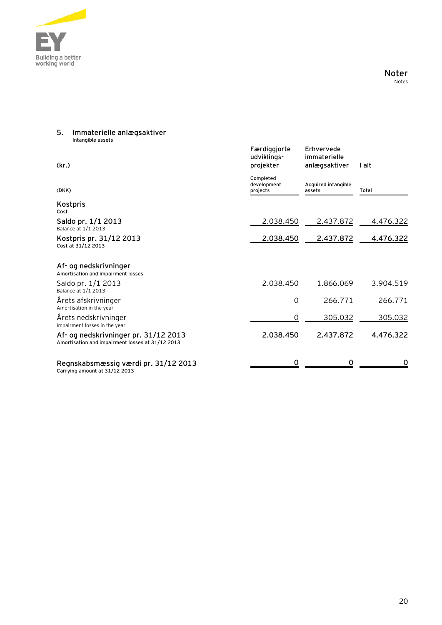

### **5. Immaterielle anlægsaktiver Intangible assets**

| (kr.)                                                                                    | Færdiggjorte<br>udviklings-<br>projekter | Erhvervede<br>immaterielle<br>anlægsaktiver | I alt     |
|------------------------------------------------------------------------------------------|------------------------------------------|---------------------------------------------|-----------|
| (DKK)                                                                                    | Completed<br>development<br>projects     | Acquired intangible<br>assets               | Total     |
| Kostpris<br>Cost                                                                         |                                          |                                             |           |
| Saldo pr. 1/1 2013<br>Balance at 1/1 2013                                                | 2.038.450                                | 2.437.872                                   | 4.476.322 |
| Kostpris pr. 31/12 2013<br>Cost at 31/12 2013                                            | 2.038.450                                | 2.437.872                                   | 4.476.322 |
| Af- og nedskrivninger<br>Amortisation and impairment losses                              |                                          |                                             |           |
| Saldo pr. 1/1 2013<br>Balance at 1/1 2013                                                | 2.038.450                                | 1.866.069                                   | 3.904.519 |
| Årets afskrivninger<br>Amortisation in the year                                          | $\Omega$                                 | 266.771                                     | 266.771   |
| Årets nedskrivninger<br>Impairment losses in the year                                    | O                                        | 305.032                                     | 305.032   |
| Af- og nedskrivninger pr. 31/12 2013<br>Amortisation and impairment losses at 31/12 2013 | 2.038.450                                | 2.437.872                                   | 4.476.322 |
| Regnskabsmæssig værdi pr. 31/12 2013<br>Carrying amount at 31/12 2013                    | ∩                                        | ∩                                           |           |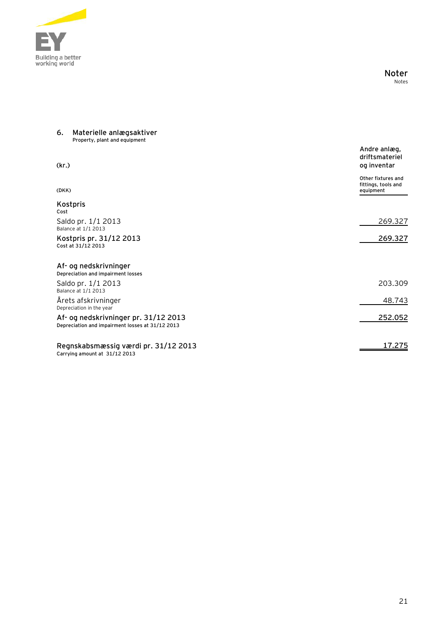

### **Noter** Notes

#### **6. Materielle anlægsaktiver Property, plant and equipment**

| (kr.)                                                                                    | Andre anlæg,<br>driftsmateriel<br>og inventar          |
|------------------------------------------------------------------------------------------|--------------------------------------------------------|
| (DKK)                                                                                    | Other fixtures and<br>fittings, tools and<br>equipment |
| Kostpris<br>Cost                                                                         |                                                        |
| Saldo pr. 1/1 2013<br>Balance at 1/1 2013                                                | 269.327                                                |
| Kostpris pr. 31/12 2013<br>Cost at 31/12 2013                                            | 269.327                                                |
| Af- og nedskrivninger<br>Depreciation and impairment losses                              |                                                        |
| Saldo pr. 1/1 2013<br>Balance at 1/1 2013                                                | 203.309                                                |
| Årets afskrivninger<br>Depreciation in the year                                          | 48.743                                                 |
| Af- og nedskrivninger pr. 31/12 2013<br>Depreciation and impairment losses at 31/12 2013 | 252.052                                                |
| Regnskabsmæssig værdi pr. 31/12 2013<br>Carrying amount at 31/12 2013                    | 17.275                                                 |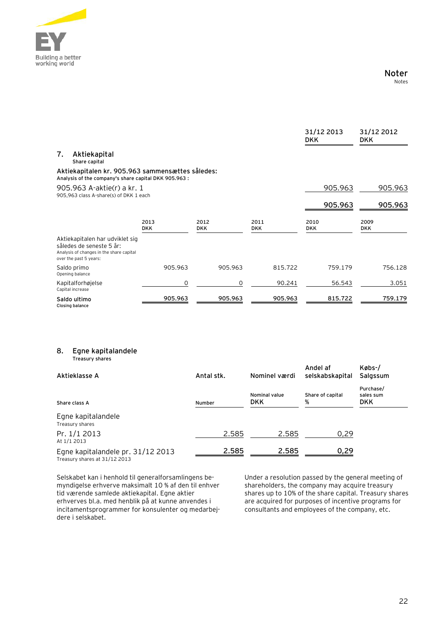

|                                                                                                                                   |                     |                    |                    | 31/12 2013<br><b>DKK</b> | 31/12 2012<br><b>DKK</b> |
|-----------------------------------------------------------------------------------------------------------------------------------|---------------------|--------------------|--------------------|--------------------------|--------------------------|
| 7.<br>Aktiekapital<br>Share capital                                                                                               |                     |                    |                    |                          |                          |
| Aktiekapitalen kr. 905.963 sammensættes således:<br>Analysis of the company's share capital DKK 905.963 :                         |                     |                    |                    |                          |                          |
| 905.963 A-aktie(r) a kr. 1<br>905,963 class A-share(s) of DKK 1 each                                                              |                     |                    |                    | 905.963                  | 905.963                  |
|                                                                                                                                   |                     |                    |                    | 905.963                  | 905.963                  |
|                                                                                                                                   | 2013<br><b>DKK</b>  | 2012<br><b>DKK</b> | 2011<br><b>DKK</b> | 2010<br><b>DKK</b>       | 2009<br><b>DKK</b>       |
| Aktiekapitalen har udviklet sig<br>således de seneste 5 år:<br>Analysis of changes in the share capital<br>over the past 5 years: |                     |                    |                    |                          |                          |
| Saldo primo<br>Opening balance                                                                                                    | 905.963             | 905.963            | 815.722            | 759.179                  | 756.128                  |
| Kapitalforhøjelse<br>Capital increase                                                                                             | $\mathsf{O}\xspace$ | $\mathbf 0$        | 90.241             | 56.543                   | 3.051                    |
| Saldo ultimo<br>Closing balance                                                                                                   | 905.963             | 905.963            | 905.963            | 815.722                  | 759.179                  |
|                                                                                                                                   |                     |                    |                    |                          |                          |
| 8.                                                                                                                                |                     |                    |                    |                          |                          |
| Egne kapitalandele<br><b>Treasury shares</b>                                                                                      |                     |                    |                    | Andel af                 | Købs-/                   |
| Aktieklasse A                                                                                                                     |                     | Antal stk.         | Nominel værdi      | selskabskapital          | Salgssum                 |

| Aktieklasse A                                                      | Antal stk. | Nominel værdi               | selskabskapital       | Salgssum                             |
|--------------------------------------------------------------------|------------|-----------------------------|-----------------------|--------------------------------------|
| Share class A                                                      | Number     | Nominal value<br><b>DKK</b> | Share of capital<br>% | Purchase/<br>sales sum<br><b>DKK</b> |
| Egne kapitalandele<br>Treasury shares                              |            |                             |                       |                                      |
| Pr. 1/1 2013<br>At 1/1 2013                                        | 2.585      | 2.585                       | 0,29                  |                                      |
| Egne kapitalandele pr. 31/12 2013<br>Treasury shares at 31/12 2013 | 2.585      | 2.585                       | 0,29                  |                                      |

Selskabet kan i henhold til generalforsamlingens bemyndigelse erhverve maksimalt 10 % af den til enhver tid værende samlede aktiekapital. Egne aktier erhverves bl.a. med henblik på at kunne anvendes i incitamentsprogrammer for konsulenter og medarbejdere i selskabet.

Under a resolution passed by the general meeting of shareholders, the company may acquire treasury shares up to 10% of the share capital. Treasury shares are acquired for purposes of incentive programs for consultants and employees of the company, etc.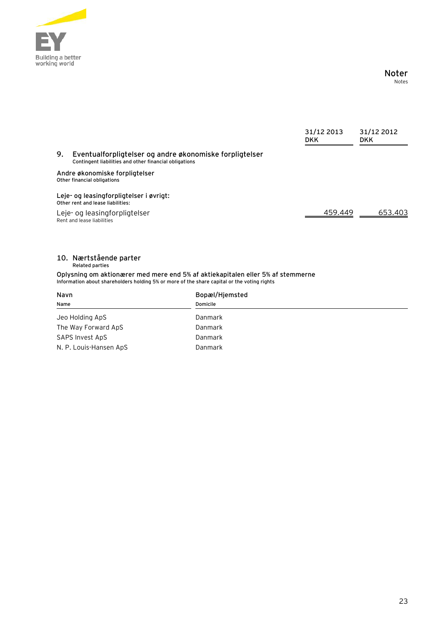

**Noter** Notes

|    |                                                                                                                   | 31/12 2013<br><b>DKK</b> | 31/12 2012<br><b>DKK</b> |
|----|-------------------------------------------------------------------------------------------------------------------|--------------------------|--------------------------|
| 9. | Eventualforpligtelser og andre økonomiske forpligtelser<br>Contingent liabilities and other financial obligations |                          |                          |
|    | Andre økonomiske forpligtelser<br>Other financial obligations                                                     |                          |                          |
|    | Leje- og leasingforpligtelser i øvrigt:<br>Other rent and lease liabilities:                                      |                          |                          |
|    | Leje- og leasingforpligtelser<br>Rent and lease liabilities                                                       | 459.449                  | 653.403                  |
|    |                                                                                                                   |                          |                          |

#### **10. Nærtstående parter Related parties**

**Oplysning om aktionærer med mere end 5% af aktiekapitalen eller 5% af stemmerne Information about shareholders holding 5% or more of the share capital or the voting rights**

| Navn                   | Bopæl/Hjemsted |  |
|------------------------|----------------|--|
| Name                   | Domicile       |  |
| Jeo Holding ApS        | Danmark        |  |
| The Way Forward ApS    | Danmark        |  |
| SAPS Invest ApS        | Danmark        |  |
| N. P. Louis-Hansen ApS | Danmark        |  |